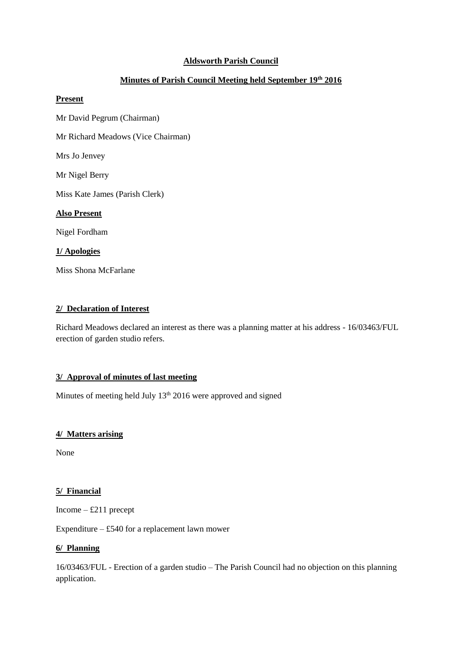# **Aldsworth Parish Council**

# **Minutes of Parish Council Meeting held September 19th 2016**

#### **Present**

Mr David Pegrum (Chairman)

Mr Richard Meadows (Vice Chairman)

Mrs Jo Jenvey

Mr Nigel Berry

Miss Kate James (Parish Clerk)

### **Also Present**

Nigel Fordham

# **1/ Apologies**

Miss Shona McFarlane

### **2/ Declaration of Interest**

Richard Meadows declared an interest as there was a planning matter at his address - 16/03463/FUL erection of garden studio refers.

### **3/ Approval of minutes of last meeting**

Minutes of meeting held July  $13<sup>th</sup> 2016$  were approved and signed

### **4/ Matters arising**

None

### **5/ Financial**

Income – £211 precept

Expenditure  $-$  £540 for a replacement lawn mower

### **6/ Planning**

16/03463/FUL - Erection of a garden studio – The Parish Council had no objection on this planning application.